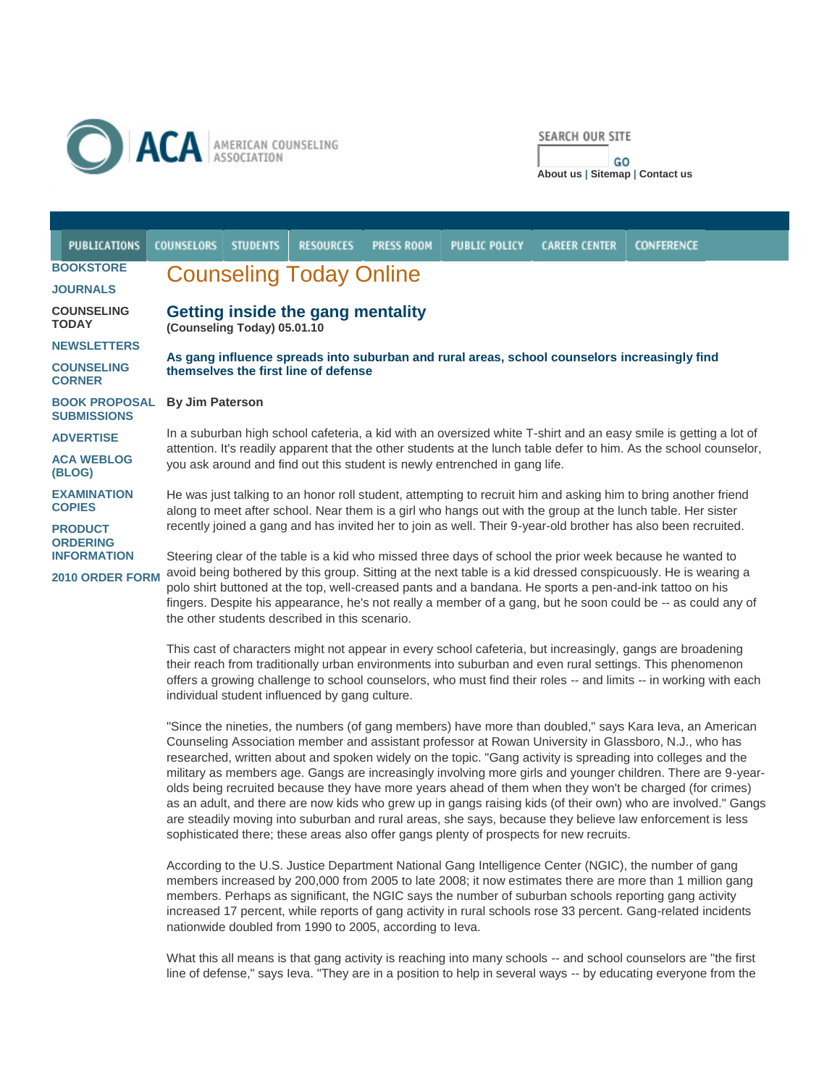

**COUNSELORS PUBLICATIONS STUDENTS RESOURCES** PRESS ROOM **PUBLIC POLICY CAREER CENTER CONFERENCE [BOOKSTORE](javascript:openWindow()** Counseling Today Online **[JOURNALS](http://www.counseling.org/Publications/Journals.aspx) [COUNSELING](http://www.counseling.org/Publications/CounselingToday.aspx)  Getting inside the gang mentality [TODAY](http://www.counseling.org/Publications/CounselingToday.aspx) (Counseling Today) 05.01.10 [NEWSLETTERS](http://www.counseling.org/Publications/Newsletters.aspx) As gang influence spreads into suburban and rural areas, school counselors increasingly find [COUNSELING](http://www.counseling.org/Publications/CounselingCorner.aspx)  themselves the first line of defense [CORNER](http://www.counseling.org/Publications/CounselingCorner.aspx) [BOOK PROPOSAL](http://www.counseling.org/Publications/Submissions.aspx)  By Jim Paterson [SUBMISSIONS](http://www.counseling.org/Publications/Submissions.aspx)** In a suburban high school cafeteria, a kid with an oversized white T-shirt and an easy smile is getting a lot of **[ADVERTISE](http://www.counseling.org/Publications/Advertise.aspx)** attention. It's readily apparent that the other students at the lunch table defer to him. As the school counselor, **[ACA WEBLOG](http://my.counseling.org/)**  you ask around and find out this student is newly entrenched in gang life. **[\(BLOG\)](http://my.counseling.org/) [EXAMINATION](http://www.counseling.org/Publications/ExaminationCopies.aspx)**  He was just talking to an honor roll student, attempting to recruit him and asking him to bring another friend **[COPIES](http://www.counseling.org/Publications/ExaminationCopies.aspx)** along to meet after school. Near them is a girl who hangs out with the group at the lunch table. Her sister recently joined a gang and has invited her to join as well. Their 9-year-old brother has also been recruited. **[PRODUCT](http://www.counseling.org/Publications/ProductOrderingInformation.aspx)  [ORDERING](http://www.counseling.org/Publications/ProductOrderingInformation.aspx)  [INFORMATION](http://www.counseling.org/Publications/ProductOrderingInformation.aspx)** Steering clear of the table is a kid who missed three days of school the prior week because he wanted to avoid being bothered by this group. Sitting at the next table is a kid dressed conspicuously. He is wearing a **[2010 ORDER FORM](http://www.counseling.org/Publications/2010OrderForm.pdf)** polo shirt buttoned at the top, well-creased pants and a bandana. He sports a pen-and-ink tattoo on his fingers. Despite his appearance, he's not really a member of a gang, but he soon could be -- as could any of the other students described in this scenario. This cast of characters might not appear in every school cafeteria, but increasingly, gangs are broadening their reach from traditionally urban environments into suburban and even rural settings. This phenomenon offers a growing challenge to school counselors, who must find their roles -- and limits -- in working with each individual student influenced by gang culture. "Since the nineties, the numbers (of gang members) have more than doubled," says Kara Ieva, an American Counseling Association member and assistant professor at Rowan University in Glassboro, N.J., who has

researched, written about and spoken widely on the topic. "Gang activity is spreading into colleges and the military as members age. Gangs are increasingly involving more girls and younger children. There are 9-yearolds being recruited because they have more years ahead of them when they won't be charged (for crimes) as an adult, and there are now kids who grew up in gangs raising kids (of their own) who are involved." Gangs are steadily moving into suburban and rural areas, she says, because they believe law enforcement is less sophisticated there; these areas also offer gangs plenty of prospects for new recruits.

According to the U.S. Justice Department National Gang Intelligence Center (NGIC), the number of gang members increased by 200,000 from 2005 to late 2008; it now estimates there are more than 1 million gang members. Perhaps as significant, the NGIC says the number of suburban schools reporting gang activity increased 17 percent, while reports of gang activity in rural schools rose 33 percent. Gang-related incidents nationwide doubled from 1990 to 2005, according to Ieva.

What this all means is that gang activity is reaching into many schools -- and school counselors are "the first line of defense," says Ieva. "They are in a position to help in several ways -- by educating everyone from the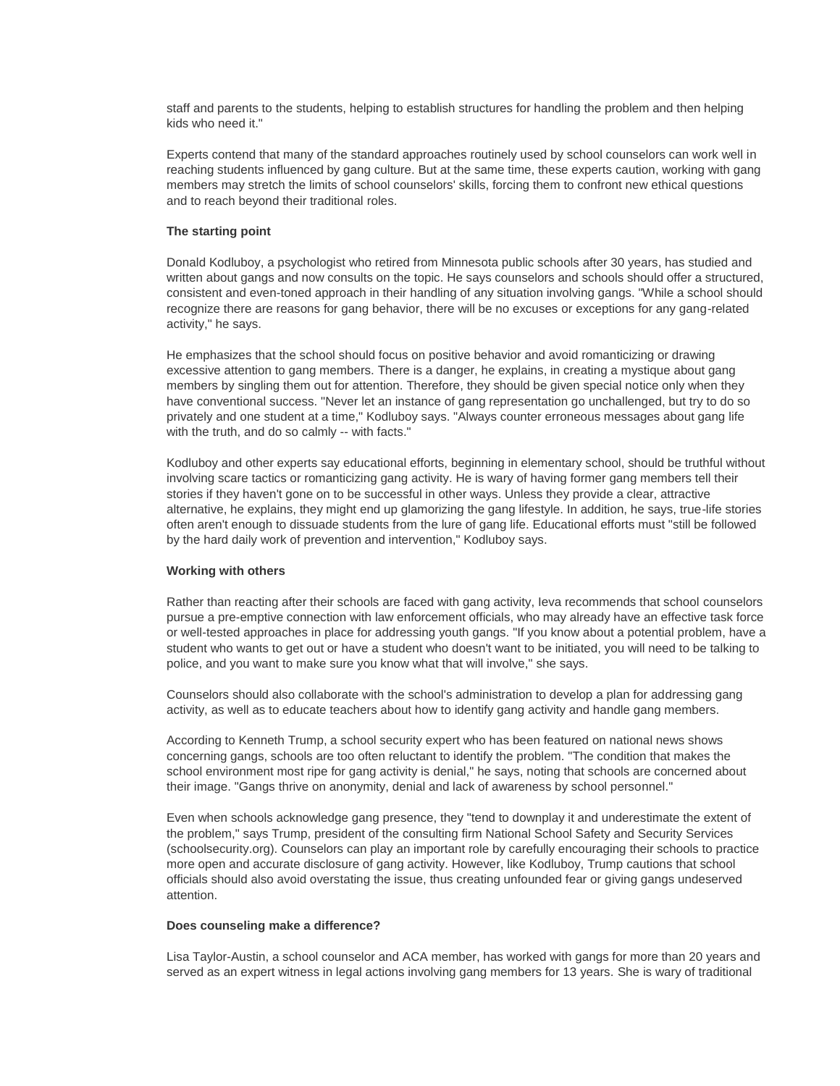staff and parents to the students, helping to establish structures for handling the problem and then helping kids who need it."

Experts contend that many of the standard approaches routinely used by school counselors can work well in reaching students influenced by gang culture. But at the same time, these experts caution, working with gang members may stretch the limits of school counselors' skills, forcing them to confront new ethical questions and to reach beyond their traditional roles.

#### **The starting point**

Donald Kodluboy, a psychologist who retired from Minnesota public schools after 30 years, has studied and written about gangs and now consults on the topic. He says counselors and schools should offer a structured, consistent and even-toned approach in their handling of any situation involving gangs. "While a school should recognize there are reasons for gang behavior, there will be no excuses or exceptions for any gang-related activity," he says.

He emphasizes that the school should focus on positive behavior and avoid romanticizing or drawing excessive attention to gang members. There is a danger, he explains, in creating a mystique about gang members by singling them out for attention. Therefore, they should be given special notice only when they have conventional success. "Never let an instance of gang representation go unchallenged, but try to do so privately and one student at a time," Kodluboy says. "Always counter erroneous messages about gang life with the truth, and do so calmly -- with facts."

Kodluboy and other experts say educational efforts, beginning in elementary school, should be truthful without involving scare tactics or romanticizing gang activity. He is wary of having former gang members tell their stories if they haven't gone on to be successful in other ways. Unless they provide a clear, attractive alternative, he explains, they might end up glamorizing the gang lifestyle. In addition, he says, true-life stories often aren't enough to dissuade students from the lure of gang life. Educational efforts must "still be followed by the hard daily work of prevention and intervention," Kodluboy says.

#### **Working with others**

Rather than reacting after their schools are faced with gang activity, Ieva recommends that school counselors pursue a pre-emptive connection with law enforcement officials, who may already have an effective task force or well-tested approaches in place for addressing youth gangs. "If you know about a potential problem, have a student who wants to get out or have a student who doesn't want to be initiated, you will need to be talking to police, and you want to make sure you know what that will involve," she says.

Counselors should also collaborate with the school's administration to develop a plan for addressing gang activity, as well as to educate teachers about how to identify gang activity and handle gang members.

According to Kenneth Trump, a school security expert who has been featured on national news shows concerning gangs, schools are too often reluctant to identify the problem. "The condition that makes the school environment most ripe for gang activity is denial," he says, noting that schools are concerned about their image. "Gangs thrive on anonymity, denial and lack of awareness by school personnel."

Even when schools acknowledge gang presence, they "tend to downplay it and underestimate the extent of the problem," says Trump, president of the consulting firm National School Safety and Security Services (schoolsecurity.org). Counselors can play an important role by carefully encouraging their schools to practice more open and accurate disclosure of gang activity. However, like Kodluboy, Trump cautions that school officials should also avoid overstating the issue, thus creating unfounded fear or giving gangs undeserved attention.

## **Does counseling make a difference?**

Lisa Taylor-Austin, a school counselor and ACA member, has worked with gangs for more than 20 years and served as an expert witness in legal actions involving gang members for 13 years. She is wary of traditional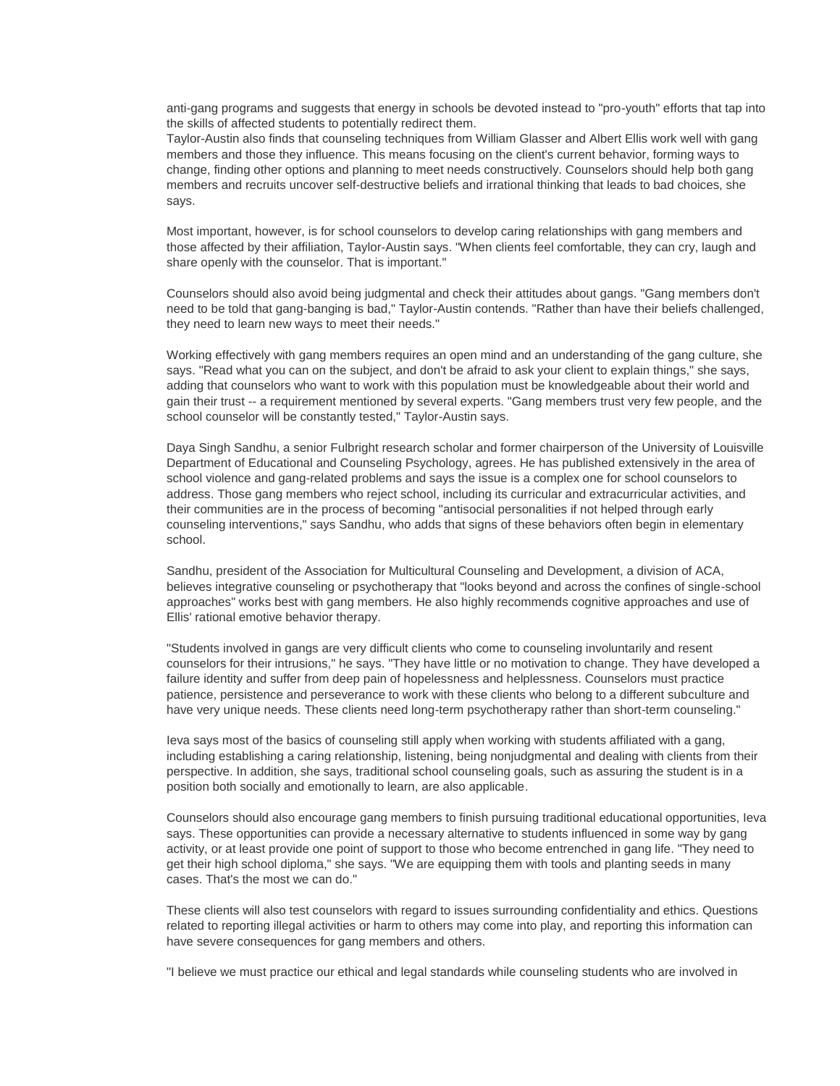anti-gang programs and suggests that energy in schools be devoted instead to "pro-youth" efforts that tap into the skills of affected students to potentially redirect them.

Taylor-Austin also finds that counseling techniques from William Glasser and Albert Ellis work well with gang members and those they influence. This means focusing on the client's current behavior, forming ways to change, finding other options and planning to meet needs constructively. Counselors should help both gang members and recruits uncover self-destructive beliefs and irrational thinking that leads to bad choices, she says.

Most important, however, is for school counselors to develop caring relationships with gang members and those affected by their affiliation, Taylor-Austin says. "When clients feel comfortable, they can cry, laugh and share openly with the counselor. That is important."

Counselors should also avoid being judgmental and check their attitudes about gangs. "Gang members don't need to be told that gang-banging is bad," Taylor-Austin contends. "Rather than have their beliefs challenged, they need to learn new ways to meet their needs."

Working effectively with gang members requires an open mind and an understanding of the gang culture, she says. "Read what you can on the subject, and don't be afraid to ask your client to explain things," she says, adding that counselors who want to work with this population must be knowledgeable about their world and gain their trust -- a requirement mentioned by several experts. "Gang members trust very few people, and the school counselor will be constantly tested," Taylor-Austin says.

Daya Singh Sandhu, a senior Fulbright research scholar and former chairperson of the University of Louisville Department of Educational and Counseling Psychology, agrees. He has published extensively in the area of school violence and gang-related problems and says the issue is a complex one for school counselors to address. Those gang members who reject school, including its curricular and extracurricular activities, and their communities are in the process of becoming "antisocial personalities if not helped through early counseling interventions," says Sandhu, who adds that signs of these behaviors often begin in elementary school.

Sandhu, president of the Association for Multicultural Counseling and Development, a division of ACA, believes integrative counseling or psychotherapy that "looks beyond and across the confines of single-school approaches" works best with gang members. He also highly recommends cognitive approaches and use of Ellis' rational emotive behavior therapy.

"Students involved in gangs are very difficult clients who come to counseling involuntarily and resent counselors for their intrusions," he says. "They have little or no motivation to change. They have developed a failure identity and suffer from deep pain of hopelessness and helplessness. Counselors must practice patience, persistence and perseverance to work with these clients who belong to a different subculture and have very unique needs. These clients need long-term psychotherapy rather than short-term counseling."

Ieva says most of the basics of counseling still apply when working with students affiliated with a gang, including establishing a caring relationship, listening, being nonjudgmental and dealing with clients from their perspective. In addition, she says, traditional school counseling goals, such as assuring the student is in a position both socially and emotionally to learn, are also applicable.

Counselors should also encourage gang members to finish pursuing traditional educational opportunities, Ieva says. These opportunities can provide a necessary alternative to students influenced in some way by gang activity, or at least provide one point of support to those who become entrenched in gang life. "They need to get their high school diploma," she says. "We are equipping them with tools and planting seeds in many cases. That's the most we can do."

These clients will also test counselors with regard to issues surrounding confidentiality and ethics. Questions related to reporting illegal activities or harm to others may come into play, and reporting this information can have severe consequences for gang members and others.

"I believe we must practice our ethical and legal standards while counseling students who are involved in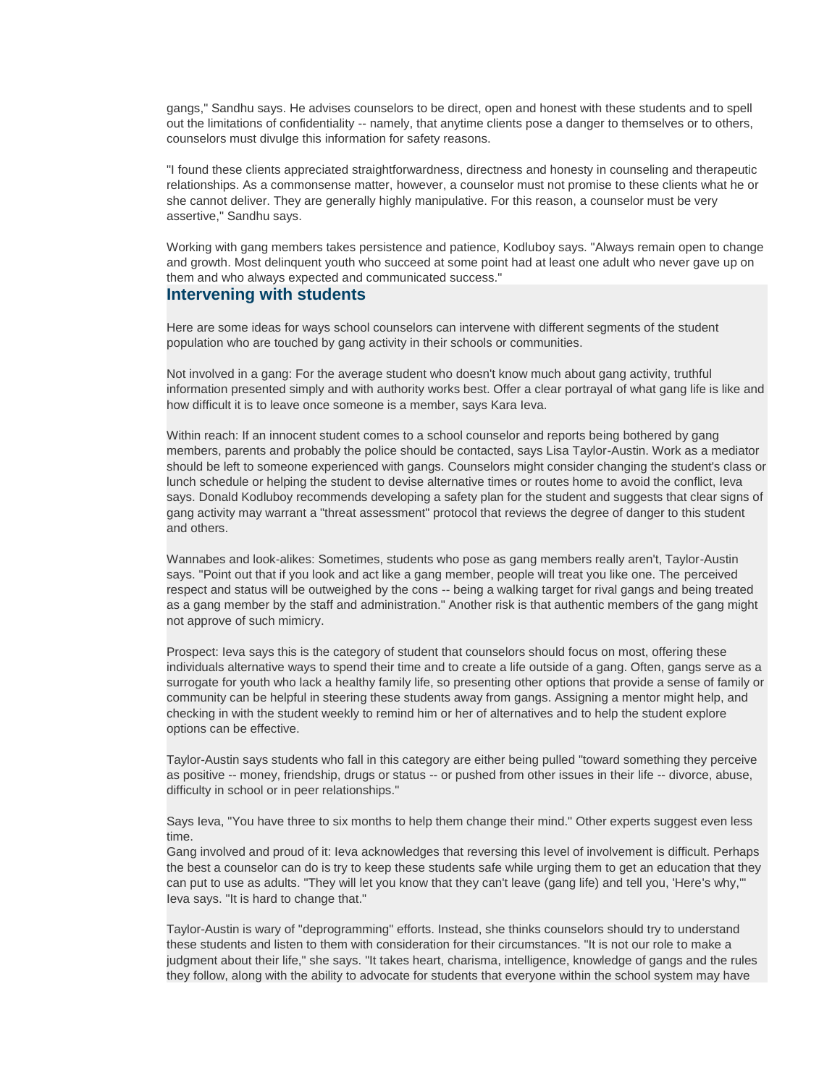gangs," Sandhu says. He advises counselors to be direct, open and honest with these students and to spell out the limitations of confidentiality -- namely, that anytime clients pose a danger to themselves or to others, counselors must divulge this information for safety reasons.

"I found these clients appreciated straightforwardness, directness and honesty in counseling and therapeutic relationships. As a commonsense matter, however, a counselor must not promise to these clients what he or she cannot deliver. They are generally highly manipulative. For this reason, a counselor must be very assertive," Sandhu says.

Working with gang members takes persistence and patience, Kodluboy says. "Always remain open to change and growth. Most delinquent youth who succeed at some point had at least one adult who never gave up on them and who always expected and communicated success."

# **Intervening with students**

Here are some ideas for ways school counselors can intervene with different segments of the student population who are touched by gang activity in their schools or communities.

Not involved in a gang: For the average student who doesn't know much about gang activity, truthful information presented simply and with authority works best. Offer a clear portrayal of what gang life is like and how difficult it is to leave once someone is a member, says Kara Ieva.

Within reach: If an innocent student comes to a school counselor and reports being bothered by gang members, parents and probably the police should be contacted, says Lisa Taylor-Austin. Work as a mediator should be left to someone experienced with gangs. Counselors might consider changing the student's class or lunch schedule or helping the student to devise alternative times or routes home to avoid the conflict, Ieva says. Donald Kodluboy recommends developing a safety plan for the student and suggests that clear signs of gang activity may warrant a "threat assessment" protocol that reviews the degree of danger to this student and others.

Wannabes and look-alikes: Sometimes, students who pose as gang members really aren't, Taylor-Austin says. "Point out that if you look and act like a gang member, people will treat you like one. The perceived respect and status will be outweighed by the cons -- being a walking target for rival gangs and being treated as a gang member by the staff and administration." Another risk is that authentic members of the gang might not approve of such mimicry.

Prospect: Ieva says this is the category of student that counselors should focus on most, offering these individuals alternative ways to spend their time and to create a life outside of a gang. Often, gangs serve as a surrogate for youth who lack a healthy family life, so presenting other options that provide a sense of family or community can be helpful in steering these students away from gangs. Assigning a mentor might help, and checking in with the student weekly to remind him or her of alternatives and to help the student explore options can be effective.

Taylor-Austin says students who fall in this category are either being pulled "toward something they perceive as positive -- money, friendship, drugs or status -- or pushed from other issues in their life -- divorce, abuse, difficulty in school or in peer relationships."

Says Ieva, "You have three to six months to help them change their mind." Other experts suggest even less time.

Gang involved and proud of it: Ieva acknowledges that reversing this level of involvement is difficult. Perhaps the best a counselor can do is try to keep these students safe while urging them to get an education that they can put to use as adults. "They will let you know that they can't leave (gang life) and tell you, 'Here's why,'" Ieva says. "It is hard to change that."

Taylor-Austin is wary of "deprogramming" efforts. Instead, she thinks counselors should try to understand these students and listen to them with consideration for their circumstances. "It is not our role to make a judgment about their life," she says. "It takes heart, charisma, intelligence, knowledge of gangs and the rules they follow, along with the ability to advocate for students that everyone within the school system may have